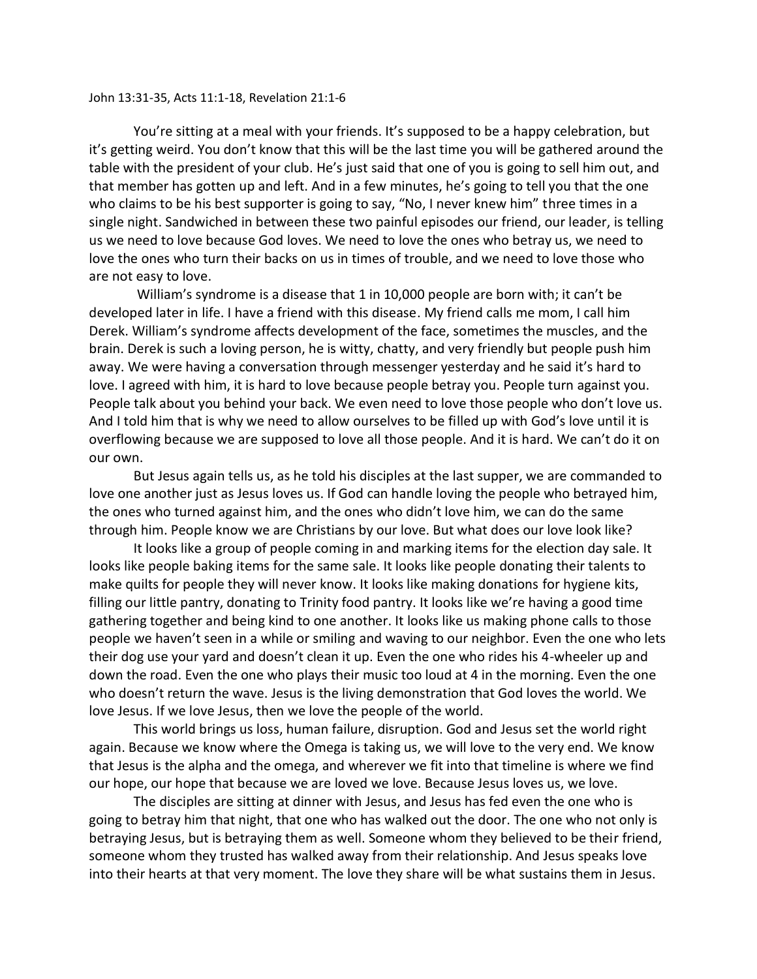## John 13:31-35, Acts 11:1-18, Revelation 21:1-6

You're sitting at a meal with your friends. It's supposed to be a happy celebration, but it's getting weird. You don't know that this will be the last time you will be gathered around the table with the president of your club. He's just said that one of you is going to sell him out, and that member has gotten up and left. And in a few minutes, he's going to tell you that the one who claims to be his best supporter is going to say, "No, I never knew him" three times in a single night. Sandwiched in between these two painful episodes our friend, our leader, is telling us we need to love because God loves. We need to love the ones who betray us, we need to love the ones who turn their backs on us in times of trouble, and we need to love those who are not easy to love.

William's syndrome is a disease that 1 in 10,000 people are born with; it can't be developed later in life. I have a friend with this disease. My friend calls me mom, I call him Derek. William's syndrome affects development of the face, sometimes the muscles, and the brain. Derek is such a loving person, he is witty, chatty, and very friendly but people push him away. We were having a conversation through messenger yesterday and he said it's hard to love. I agreed with him, it is hard to love because people betray you. People turn against you. People talk about you behind your back. We even need to love those people who don't love us. And I told him that is why we need to allow ourselves to be filled up with God's love until it is overflowing because we are supposed to love all those people. And it is hard. We can't do it on our own.

But Jesus again tells us, as he told his disciples at the last supper, we are commanded to love one another just as Jesus loves us. If God can handle loving the people who betrayed him, the ones who turned against him, and the ones who didn't love him, we can do the same through him. People know we are Christians by our love. But what does our love look like?

It looks like a group of people coming in and marking items for the election day sale. It looks like people baking items for the same sale. It looks like people donating their talents to make quilts for people they will never know. It looks like making donations for hygiene kits, filling our little pantry, donating to Trinity food pantry. It looks like we're having a good time gathering together and being kind to one another. It looks like us making phone calls to those people we haven't seen in a while or smiling and waving to our neighbor. Even the one who lets their dog use your yard and doesn't clean it up. Even the one who rides his 4-wheeler up and down the road. Even the one who plays their music too loud at 4 in the morning. Even the one who doesn't return the wave. Jesus is the living demonstration that God loves the world. We love Jesus. If we love Jesus, then we love the people of the world.

This world brings us loss, human failure, disruption. God and Jesus set the world right again. Because we know where the Omega is taking us, we will love to the very end. We know that Jesus is the alpha and the omega, and wherever we fit into that timeline is where we find our hope, our hope that because we are loved we love. Because Jesus loves us, we love.

The disciples are sitting at dinner with Jesus, and Jesus has fed even the one who is going to betray him that night, that one who has walked out the door. The one who not only is betraying Jesus, but is betraying them as well. Someone whom they believed to be their friend, someone whom they trusted has walked away from their relationship. And Jesus speaks love into their hearts at that very moment. The love they share will be what sustains them in Jesus.